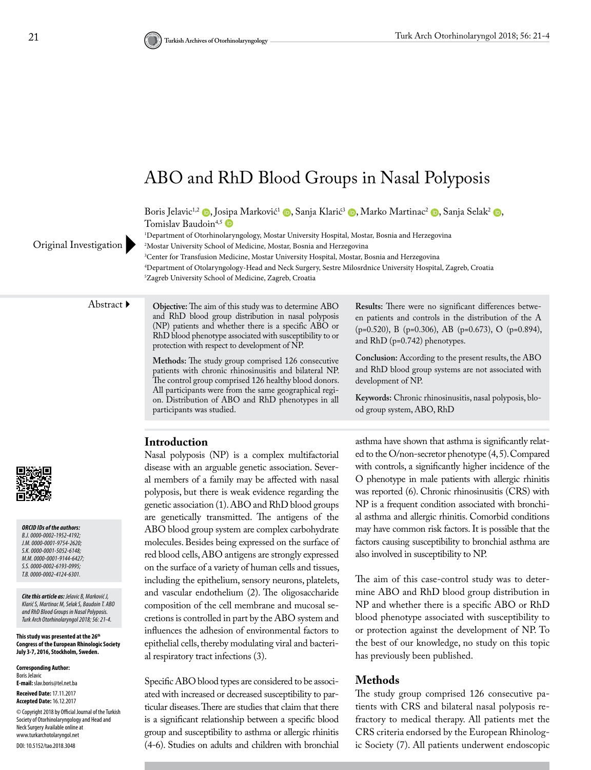# ABO and RhD Blood Groups in Nasal Polyposis

Boris Jelavic<sup>1,2</sup> [,](https://orcid.org/0000-0002-6193-0995) Jo[sipa](https://orcid.org/0000-0002-4124-6301) Marković<sup>1</sup> [,](https://orcid.org/0000-0001-5052-6148) Sanja Klarić<sup>3</sup> , Marko Martinac<sup>2</sup> , Sanja Selak<sup>2</sup> , G Tomislav Baudoin<sup>4,5</sup>

1 Department of Otorhinolaryngology, Mostar University Hospital, Mostar, Bosnia and Herzegovina

2 Mostar University School of Medicine, Mostar, Bosnia and Herzegovina

3 Center for Transfusion Medicine, Mostar University Hospital, Mostar, Bosnia and Herzegovina 4 Department of Otolaryngology-Head and Neck Surgery, Sestre Milosrdnice University Hospital, Zagreb, Croatia 5 Zagreb University School of Medicine, Zagreb, Croatia

Original Investigation

Abstract **Objective:** The aim of this study was to determine ABO and RhD blood group distribution in nasal polyposis (NP) patients and whether there is a specific ABO or RhD blood phenotype associated with susceptibility to or protection with respect to development of NP.

> **Methods:** The study group comprised 126 consecutive patients with chronic rhinosinusitis and bilateral NP. The control group comprised 126 healthy blood donors. All participants were from the same geographical region. Distribution of ABO and RhD phenotypes in all participants was studied.

**Results:** There were no significant differences between patients and controls in the distribution of the A (p=0.520), B (p=0.306), AB (p=0.673), O (p=0.894), and RhD (p=0.742) phenotypes.

**Conclusion:** According to the present results, the ABO and RhD blood group systems are not associated with development of NP.

**Keywords:** Chronic rhinosinusitis, nasal polyposis, blood group system, ABO, RhD

*ORCID IDs of the authors: B.J. 0000-0002-1952-4192; J.M. 0000-0001-9754-2620; S.K. 0000-0001-5052-6148; M.M. 0000-0001-9144-6427; S.S. 0000-0002-6193-0995; T.B. 0000-0002-4124-6301.*

*Cite this article as: Jelavic B, Marković J, Klarić S, Martinac M, Selak S, Baudoin T. ABO and RhD Blood Groups in Nasal Polyposis. Turk Arch Otorhinolaryngol 2018; 56: 21-4.*

**This study was presented at the 26th Congress of the European Rhinologic Society July 3-7, 2016, Stockholm, Sweden.**

**Corresponding Author:**  Boris Jelavic **E-mail:** slav.boris@tel.net.ba **Received Date:** 17.11.2017 **Accepted Date:** 16.12.2017 © Copyright 2018 by Official Journal of the Turkish Society of Otorhinolaryngology and Head and Neck Surgery Available online at www.turkarchotolaryngol.net DOI: 10.5152/tao.2018.3048

#### **Introduction**

Nasal polyposis (NP) is a complex multifactorial disease with an arguable genetic association. Several members of a family may be affected with nasal polyposis, but there is weak evidence regarding the genetic association (1). ABO and RhD blood groups are genetically transmitted. The antigens of the ABO blood group system are complex carbohydrate molecules. Besides being expressed on the surface of red blood cells, ABO antigens are strongly expressed on the surface of a variety of human cells and tissues, including the epithelium, sensory neurons, platelets, and vascular endothelium (2). The oligosaccharide composition of the cell membrane and mucosal secretions is controlled in part by the ABO system and influences the adhesion of environmental factors to epithelial cells, thereby modulating viral and bacterial respiratory tract infections (3).

Specific ABO blood types are considered to be associated with increased or decreased susceptibility to particular diseases. There are studies that claim that there is a significant relationship between a specific blood group and susceptibility to asthma or allergic rhinitis (4-6). Studies on adults and children with bronchial asthma have shown that asthma is significantly related to the O/non-secretor phenotype (4, 5). Compared with controls, a significantly higher incidence of the O phenotype in male patients with allergic rhinitis was reported (6). Chronic rhinosinusitis (CRS) with NP is a frequent condition associated with bronchial asthma and allergic rhinitis. Comorbid conditions may have common risk factors. It is possible that the factors causing susceptibility to bronchial asthma are also involved in susceptibility to NP.

The aim of this case-control study was to determine ABO and RhD blood group distribution in NP and whether there is a specific ABO or RhD blood phenotype associated with susceptibility to or protection against the development of NP. To the best of our knowledge, no study on this topic has previously been published.

#### **Methods**

The study group comprised 126 consecutive patients with CRS and bilateral nasal polyposis refractory to medical therapy. All patients met the CRS criteria endorsed by the European Rhinologic Society (7). All patients underwent endoscopic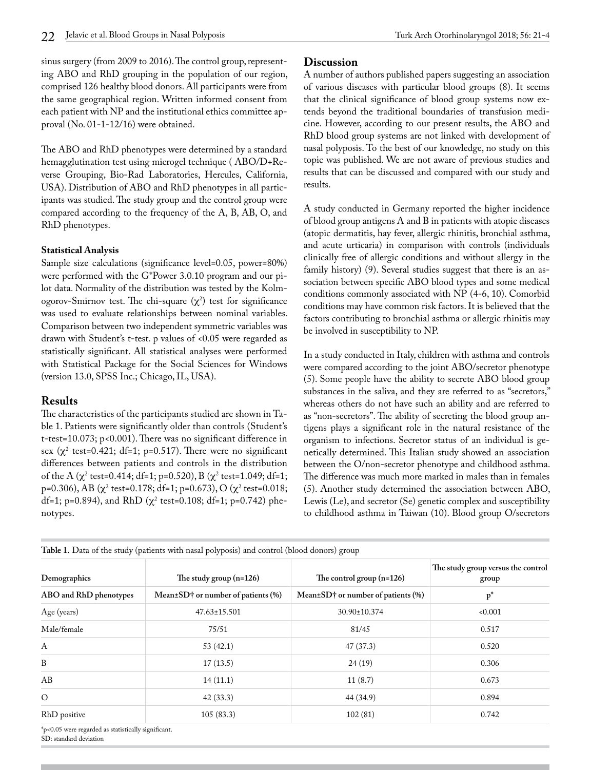sinus surgery (from 2009 to 2016). The control group, representing ABO and RhD grouping in the population of our region, comprised 126 healthy blood donors. All participants were from the same geographical region. Written informed consent from each patient with NP and the institutional ethics committee approval (No. 01-1-12/16) were obtained.

The ABO and RhD phenotypes were determined by a standard hemagglutination test using microgel technique ( ABO/D+Reverse Grouping, Bio-Rad Laboratories, Hercules, California, USA). Distribution of ABO and RhD phenotypes in all participants was studied. The study group and the control group were compared according to the frequency of the A, B, AB, O, and RhD phenotypes.

#### **Statistical Analysis**

Sample size calculations (significance level=0.05, power=80%) were performed with the G\*Power 3.0.10 program and our pilot data. Normality of the distribution was tested by the Kolmogorov-Smirnov test. The chi-square  $(\chi^2)$  test for significance was used to evaluate relationships between nominal variables. Comparison between two independent symmetric variables was drawn with Student's t-test. p values of <0.05 were regarded as statistically significant. All statistical analyses were performed with Statistical Package for the Social Sciences for Windows (version 13.0, SPSS Inc.; Chicago, IL, USA).

## **Results**

The characteristics of the participants studied are shown in Table 1. Patients were significantly older than controls (Student's t-test=10.073; p<0.001). There was no significant difference in sex ( $\chi^2$  test=0.421; df=1; p=0.517). There were no significant differences between patients and controls in the distribution of the A (χ<sup>2</sup> test=0.414; df=1; p=0.520), B (χ<sup>2</sup> test=1.049; df=1; p=0.306), AB (χ<sup>2</sup> test=0.178; df=1; p=0.673), O (χ<sup>2</sup> test=0.018; df=1; p=0.894), and RhD ( $\chi^2$  test=0.108; df=1; p=0.742) phenotypes.

# **Discussion**

A number of authors published papers suggesting an association of various diseases with particular blood groups (8). It seems that the clinical significance of blood group systems now extends beyond the traditional boundaries of transfusion medicine. However, according to our present results, the ABO and RhD blood group systems are not linked with development of nasal polyposis. To the best of our knowledge, no study on this topic was published. We are not aware of previous studies and results that can be discussed and compared with our study and results.

A study conducted in Germany reported the higher incidence of blood group antigens A and B in patients with atopic diseases (atopic dermatitis, hay fever, allergic rhinitis, bronchial asthma, and acute urticaria) in comparison with controls (individuals clinically free of allergic conditions and without allergy in the family history) (9). Several studies suggest that there is an association between specific ABO blood types and some medical conditions commonly associated with NP (4-6, 10). Comorbid conditions may have common risk factors. It is believed that the factors contributing to bronchial asthma or allergic rhinitis may be involved in susceptibility to NP.

In a study conducted in Italy, children with asthma and controls were compared according to the joint ABO/secretor phenotype (5). Some people have the ability to secrete ABO blood group substances in the saliva, and they are referred to as "secretors," whereas others do not have such an ability and are referred to as "non-secretors". The ability of secreting the blood group antigens plays a significant role in the natural resistance of the organism to infections. Secretor status of an individual is genetically determined. This Italian study showed an association between the O/non-secretor phenotype and childhood asthma. The difference was much more marked in males than in females (5). Another study determined the association between ABO, Lewis (Le), and secretor (Se) genetic complex and susceptibility to childhood asthma in Taiwan (10). Blood group O/secretors

| Demographics<br>ABO and RhD phenotypes                         | The study group $(n=126)$<br>Mean $\pm$ SD† or number of patients (%) | The control group $(n=126)$<br>Mean $\pm$ SD† or number of patients (%) | The study group versus the control<br>group<br>$p^*$ |
|----------------------------------------------------------------|-----------------------------------------------------------------------|-------------------------------------------------------------------------|------------------------------------------------------|
|                                                                |                                                                       |                                                                         |                                                      |
| Male/female                                                    | 75/51                                                                 | 81/45                                                                   | 0.517                                                |
| A                                                              | 53(42.1)                                                              | 47(37.3)                                                                | 0.520                                                |
| B                                                              | 17(13.5)                                                              | 24(19)                                                                  | 0.306                                                |
| AB                                                             | 14(11.1)                                                              | 11(8.7)                                                                 | 0.673                                                |
| $\circ$                                                        | 42(33.3)                                                              | 44 (34.9)                                                               | 0.894                                                |
| RhD positive                                                   | 105(83.3)                                                             | 102(81)                                                                 | 0.742                                                |
| $*_{n \times} 0.05$ were regarded as statistically significant |                                                                       |                                                                         |                                                      |

**Table 1.** Data of the study (patients with nasal polyposis) and control (blood donors) group

\*p<0.05 were regarded as statistically significant. SD: standard deviation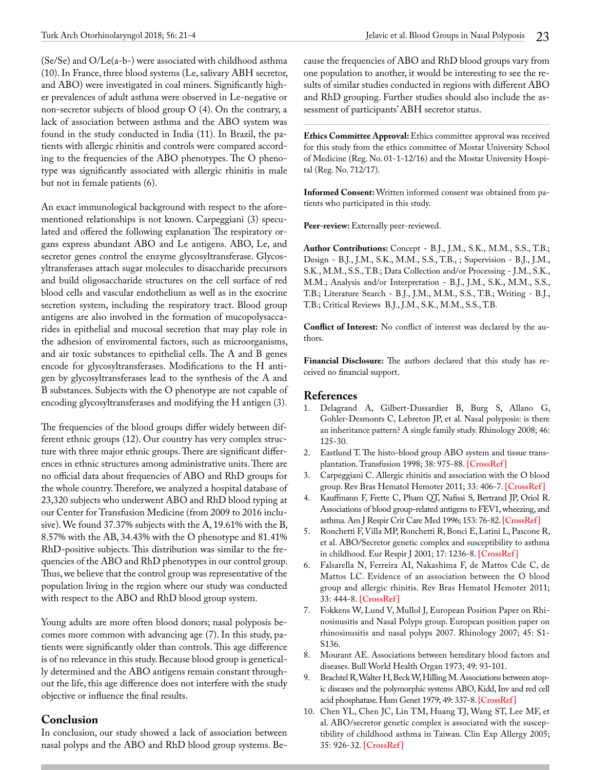(Se/Se) and O/Le(a-b-) were associated with childhood asthma (10). In France, three blood systems (Le, salivary ABH secretor, and ABO) were investigated in coal miners. Significantly higher prevalences of adult asthma were observed in Le-negative or non-secretor subjects of blood group O (4). On the contrary, a lack of association between asthma and the ABO system was found in the study conducted in India (11). In Brazil, the patients with allergic rhinitis and controls were compared according to the frequencies of the ABO phenotypes. The O phenotype was significantly associated with allergic rhinitis in male but not in female patients (6).

An exact immunological background with respect to the aforementioned relationships is not known. Carpeggiani (3) speculated and offered the following explanation The respiratory organs express abundant ABO and Le antigens. ABO, Le, and secretor genes control the enzyme glycosyltransferase. Glycosyltransferases attach sugar molecules to disaccharide precursors and build oligosaccharide structures on the cell surface of red blood cells and vascular endothelium as well as in the exocrine secretion system, including the respiratory tract. Blood group antigens are also involved in the formation of mucopolysaccarides in epithelial and mucosal secretion that may play role in the adhesion of enviromental factors, such as microorganisms, and air toxic substances to epithelial cells. The A and B genes encode for glycosyltransferases. Modifications to the H antigen by glycosyltransferases lead to the synthesis of the A and B substances. Subjects with the O phenotype are not capable of encoding glycosyltransferases and modifying the H antigen (3).

The frequencies of the blood groups differ widely between different ethnic groups (12). Our country has very complex structure with three major ethnic groups. There are significant differences in ethnic structures among administrative units. There are no official data about frequencies of ABO and RhD groups for the whole country. Therefore, we analyzed a hospital database of 23,320 subjects who underwent ABO and RhD blood typing at our Center for Transfusion Medicine (from 2009 to 2016 inclusive). We found 37.37% subjects with the A, 19.61% with the B, 8.57% with the AB, 34.43% with the O phenotype and 81.41% RhD-positive subjects. This distribution was similar to the frequencies of the ABO and RhD phenotypes in our control group. Thus, we believe that the control group was representative of the population living in the region where our study was conducted with respect to the ABO and RhD blood group system.

Young adults are more often blood donors; nasal polyposis becomes more common with advancing age (7). In this study, patients were significantly older than controls. This age difference is of no relevance in this study. Because blood group is genetically determined and the ABO antigens remain constant throughout the life, this age difference does not interfere with the study objective or influence the final results.

### **Conclusion**

In conclusion, our study showed a lack of association between nasal polyps and the ABO and RhD blood group systems. Because the frequencies of ABO and RhD blood groups vary from one population to another, it would be interesting to see the results of similar studies conducted in regions with different ABO and RhD grouping. Further studies should also include the assessment of participants' ABH secretor status.

**Ethics Committee Approval:** Ethics committee approval was received for this study from the ethics committee of Mostar University School of Medicine (Reg. No. 01-1-12/16) and the Mostar University Hospital (Reg. No. 712/17).

**Informed Consent:** Written informed consent was obtained from patients who participated in this study.

Peer-review: Externally peer-reviewed.

**Author Contributions:** Concept - B.J., J.M., S.K., M.M., S.S., T.B.; Design - B.J., J.M., S.K., M.M., S.S., T.B., ; Supervision - B.J., J.M., S.K., M.M., S.S., T.B.; Data Collection and/or Processing - J.M., S.K., M.M.; Analysis and/or Interpretation - B.J., J.M., S.K., M.M., S.S., T.B.; Literature Search - B.J., J.M., M.M., S.S., T.B.; Writing - B.J., T.B.; Critical Reviews B.J., J.M., S.K., M.M., S.S., T.B.

**Conflict of Interest:** No conflict of interest was declared by the authors.

**Financial Disclosure:** The authors declared that this study has received no financial support.

#### **References**

- 1. Delagrand A, Gilbert-Dussardier B, Burg S, Allano G, Gohler-Desmonts C, Lebreton JP, et al. Nasal polyposis: is there an inheritance pattern? A single family study. Rhinology 2008; 46: 125-30.
- 2. Eastlund T. The histo-blood group ABO system and tissue transplantation. Transfusion 1998; 38: 975-88. **[\[CrossRef \]](https://doi.org/10.1046/j.1537-2995.1998.381098440863.x)**
- 3. Carpeggiani C. Allergic rhinitis and association with the O blood group. Rev Bras Hematol Hemoter 2011; 33: 406-7. **[\[CrossRef \]](https://doi.org/10.5581/1516-8484.20110113)**
- 4. Kauffmann F, Frette C, Pham QT, Nafissi S, Bertrand JP, Oriol R. Associations of blood group-related antigens to FEV1, wheezing, and asthma. Am J Respir Crit Care Med 1996; 153: 76-82. **[\[CrossRef\]](https://doi.org/10.1164/ajrccm.153.1.8542166)**
- 5. Ronchetti F, Villa MP, Ronchetti R, Bonci E, Latini L, Pascone R, et al. ABO/Secretor genetic complex and susceptibility to asthma in childhood. Eur Respir J 2001; 17: 1236-8. **[\[CrossRef \]](https://doi.org/10.1183/09031936.01.99109101)**
- 6. Falsarella N, Ferreira AI, Nakashima F, de Mattos Cde C, de Mattos LC. Evidence of an association between the O blood group and allergic rhinitis. Rev Bras Hematol Hemoter 2011; 33: 444-8. **[\[CrossRef \]](https://doi.org/10.5581/1516-8484.20110120)**
- 7. Fokkens W, Lund V, Mullol J, European Position Paper on Rhinosinusitis and Nasal Polyps group. European position paper on rhinosinusitis and nasal polyps 2007. Rhinology 2007; 45: S1- S136.
- 8. Mourant AE. Associations between hereditary blood factors and diseases. Bull World Health Organ 1973; 49: 93-101.
- 9. Brachtel R, Walter H, Beck W, Hilling M. Associations between atopic diseases and the polymorphic systems ABO, Kidd, Inv and red cell acid phosphatase. Hum Genet 1979; 49: 337-8. **[\[CrossRef\]](https://doi.org/10.1007/BF00569354)**
- 10. Chen YL, Chen JC, Lin TM, Huang TJ, Wang ST, Lee MF, et al. ABO/secretor genetic complex is associated with the susceptibility of childhood asthma in Taiwan. Clin Exp Allergy 2005; 35: 926-32. **[\[CrossRef \]](https://doi.org/10.1111/j.1365-2222.2005.02278.x)**